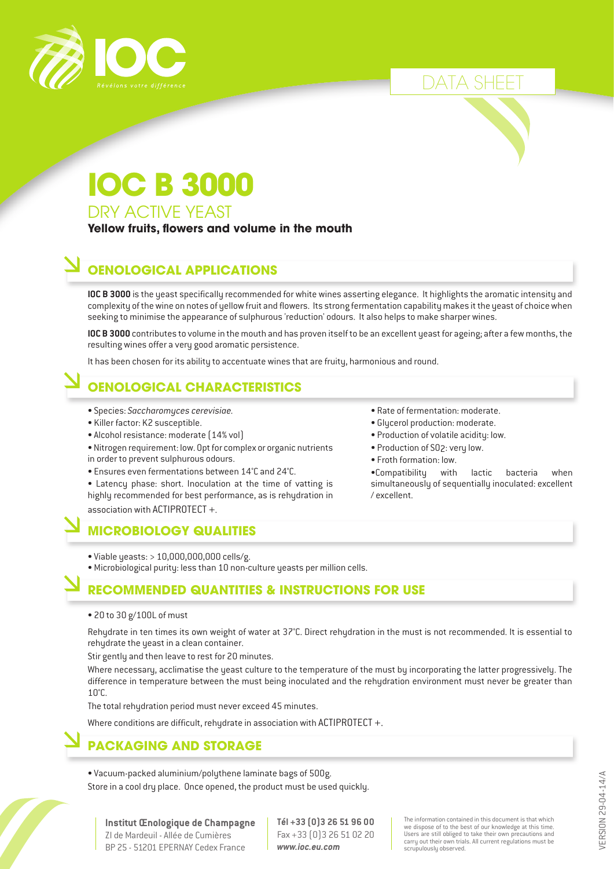

DATA SHEET

### **IOC B 3000** DRY ACTIVE YEAST

**Yellow fruits, flowers and volume in the mouth**

### **OENOLOGICAL APPLICATIONS**

**IOC B 3000** is the yeast specifically recommended for white wines asserting elegance. It highlights the aromatic intensity and complexity of the wine on notes of yellow fruit and flowers. Its strong fermentation capability makes it the yeast of choice when seeking to minimise the appearance of sulphurous 'reduction' odours. It also helps to make sharper wines.

**IOC B 3000** contributes to volume in the mouth and has proven itself to be an excellent yeast for ageing; after a few months, the resulting wines offer a very good aromatic persistence.

It has been chosen for its ability to accentuate wines that are fruity, harmonious and round.

### **OENOLOGICAL CHARACTERISTICS**

- Species: *Saccharomyces cerevisiae.*
- Killer factor: K2 susceptible.
- Alcohol resistance: moderate (14% vol)
- Nitrogen requirement: low. Opt for complex or organic nutrients in order to prevent sulphurous odours.
- Ensures even fermentations between 14°C and 24°C.

• Latencu phase: short. Inoculation at the time of vatting is highly recommended for best performance, as is rehydration in association with ACTIPROTECT +.

### **MICROBIOLOGY QUALITIES**

- Viable yeasts: > 10,000,000,000 cells/g.
- Microbiological purity: less than 10 non-culture yeasts per million cells.

### **RECOMMENDED QUANTITIES & INSTRUCTIONS FOR USE**

• 20 to 30 g/100L of must

Rehydrate in ten times its own weight of water at 37°C. Direct rehydration in the must is not recommended. It is essential to rehydrate the yeast in a clean container.

Stir gently and then leave to rest for 20 minutes.

Where necessary, acclimatise the yeast culture to the temperature of the must by incorporating the latter progressively. The difference in temperature between the must being inoculated and the rehydration environment must never be greater than 10°C.

The total rehydration period must never exceed 45 minutes.

Where conditions are difficult, rehydrate in association with ACTIPROTECT +.

### **PACKAGING AND STORAGE**

• Vacuum-packed aluminium/polythene laminate bags of 500g. Store in a cool dry place. Once opened, the product must be used quickly.

- Rate of fermentation: moderate.
- Glycerol production: moderate.
- Production of volatile acidity: low.
- Production of SO2: very low.
- Froth formation: low.

•Compatibility with lactic bacteria when simultaneously of sequentially inoculated: excellent / excellent.

> /ERSION 29-04-14/A VERSION 29-04-14/A

ZI de Mardeuil - Allée de Cumières BP 25 - 51201 EPERNAY Cedex France **Tél +33 (0)3 26 51 96 00** Fax +33 (0)3 26 51 02 20 *www.ioc.eu.com*

The information contained in this document is that which we dispose of to the best of our knowledge at this time. Users are still obliged to take their own precautions and carry out their own trials. All current regulations must be scrupulously observed.

**Institut Œnologique de Champagne**